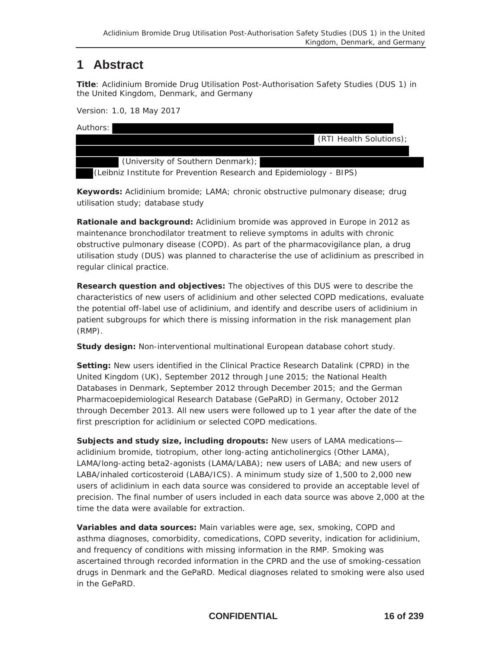## **1 Abstract**

**Title**: Aclidinium Bromide Drug Utilisation Post-Authorisation Safety Studies (DUS 1) in the United Kingdom, Denmark, and Germany

Version: 1.0, 18 May 2017

| Authors:                                                            |                         |
|---------------------------------------------------------------------|-------------------------|
|                                                                     | (RTI Health Solutions); |
|                                                                     |                         |
| (University of Southern Denmark);                                   |                         |
| (Leibniz Institute for Prevention Research and Epidemiology - BIPS) |                         |

**Keywords:** Aclidinium bromide; LAMA; chronic obstructive pulmonary disease; drug utilisation study; database study

**Rationale and background:** Aclidinium bromide was approved in Europe in 2012 as maintenance bronchodilator treatment to relieve symptoms in adults with chronic obstructive pulmonary disease (COPD). As part of the pharmacovigilance plan, a drug utilisation study (DUS) was planned to characterise the use of aclidinium as prescribed in regular clinical practice.

**Research question and objectives:** The objectives of this DUS were to describe the characteristics of new users of aclidinium and other selected COPD medications, evaluate the potential off-label use of aclidinium, and identify and describe users of aclidinium in patient subgroups for which there is missing information in the risk management plan (RMP).

**Study design:** Non-interventional multinational European database cohort study.

**Setting:** New users identified in the Clinical Practice Research Datalink (CPRD) in the United Kingdom (UK), September 2012 through June 2015; the National Health Databases in Denmark, September 2012 through December 2015; and the German Pharmacoepidemiological Research Database (GePaRD) in Germany, October 2012 through December 2013. All new users were followed up to 1 year after the date of the first prescription for aclidinium or selected COPD medications.

**Subjects and study size, including dropouts:** New users of LAMA medications aclidinium bromide, tiotropium, other long-acting anticholinergics (Other LAMA), LAMA/long-acting beta2-agonists (LAMA/LABA); new users of LABA; and new users of LABA/inhaled corticosteroid (LABA/ICS). A minimum study size of 1,500 to 2,000 new users of aclidinium in each data source was considered to provide an acceptable level of precision. The final number of users included in each data source was above 2,000 at the time the data were available for extraction.

**Variables and data sources:** Main variables were age, sex, smoking, COPD and asthma diagnoses, comorbidity, comedications, COPD severity, indication for aclidinium, and frequency of conditions with missing information in the RMP. Smoking was ascertained through recorded information in the CPRD and the use of smoking-cessation drugs in Denmark and the GePaRD. Medical diagnoses related to smoking were also used in the GePaRD.

**CONFIDENTIAL 16 of 239**